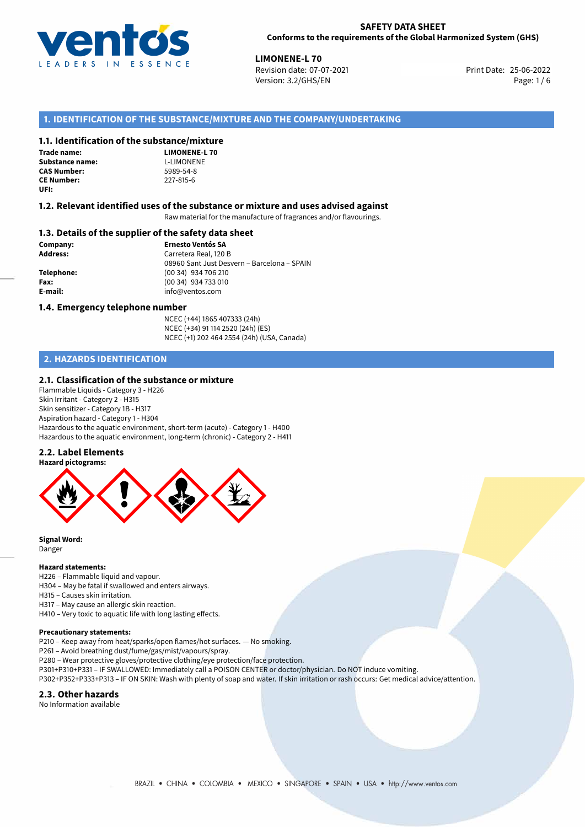

**LIMONENE-L 70**<br>25-06-2022 **Revision date: 07-07-2021** Print Date: 25-06-2022 Version: 3.2/GHS/EN Page: 1 / 6

# **1. IDENTIFICATION OF THE SUBSTANCE/MIXTURE AND THE COMPANY/UNDERTAKING**

### **1.1. Identification of the substance/mixture**

**Trade name: Substance name:** L-LIMONENE<br> **CAS Number:** 5989-54-8 **CAS Number: CE Number:** 227-815-6 **UFI:**

**LIMONENE-L 70**

#### **1.2. Relevant identified uses of the substance or mixture and uses advised against**

Raw material for the manufacture of fragrances and/or flavourings.

### **1.3. Details of the supplier of the safety data sheet**

**Company: Ernesto Ventós SA Address:** Carretera Real, 120 B 08960 Sant Just Desvern – Barcelona – SPAIN **Telephone:** (00 34) 934 706 210 **Fax:** (00 34) 934 733 010 **E-mail:** info@ventos.com

#### **1.4. Emergency telephone number**

NCEC (+44) 1865 407333 (24h) NCEC (+34) 91 114 2520 (24h) (ES) NCEC (+1) 202 464 2554 (24h) (USA, Canada)

# **2. HAZARDS IDENTIFICATION**

### **2.1. Classification of the substance or mixture**

Flammable Liquids - Category 3 - H226 Skin Irritant - Category 2 - H315 Skin sensitizer - Category 1B - H317 Aspiration hazard - Category 1 - H304 Hazardous to the aquatic environment, short-term (acute) - Category 1 - H400 Hazardous to the aquatic environment, long-term (chronic) - Category 2 - H411

## **2.2. Label Elements**



**Signal Word:** Danger

#### **Hazard statements:**

H226 – Flammable liquid and vapour.

H304 – May be fatal if swallowed and enters airways.

H315 – Causes skin irritation. H317 – May cause an allergic skin reaction.

H410 – Very toxic to aquatic life with long lasting effects.

#### **Precautionary statements:**

P210 – Keep away from heat/sparks/open flames/hot surfaces. — No smoking.

P261 – Avoid breathing dust/fume/gas/mist/vapours/spray.

P280 – Wear protective gloves/protective clothing/eye protection/face protection.

P301+P310+P331 – IF SWALLOWED: Immediately call a POISON CENTER or doctor/physician. Do NOT induce vomiting.

P302+P352+P333+P313 – IF ON SKIN: Wash with plenty of soap and water. If skin irritation or rash occurs: Get medical advice/attention.

#### **2.3. Other hazards**

No Information available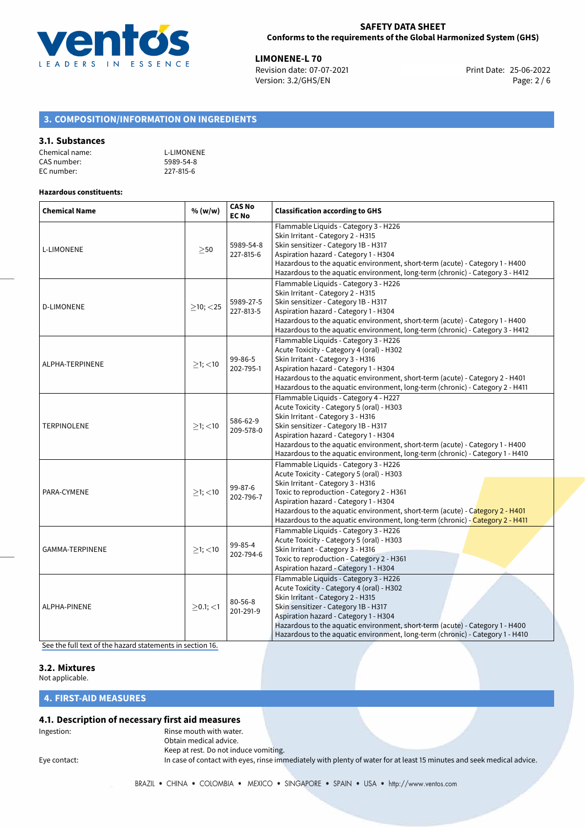

**LIMONENE-L 70**<br>
Revision date: 07-07-2021<br> **Print Date: 25-06-2022** Revision date: 07-07-2021 Version: 3.2/GHS/EN Page: 2 / 6

# **3. COMPOSITION/INFORMATION ON INGREDIENTS**

### **3.1. Substances**

| Chemical name: | <b>L-LIMONENE</b> |
|----------------|-------------------|
| CAS number:    | 5989-54-8         |
| EC number:     | 227-815-6         |

## **Hazardous constituents:**

| <b>Chemical Name</b> | % (w/w)        | <b>CAS No</b><br><b>EC No</b> | <b>Classification according to GHS</b>                                                                                                                                                                                                                                                                                                                                         |  |
|----------------------|----------------|-------------------------------|--------------------------------------------------------------------------------------------------------------------------------------------------------------------------------------------------------------------------------------------------------------------------------------------------------------------------------------------------------------------------------|--|
| L-LIMONENE           | >50            | 5989-54-8<br>227-815-6        | Flammable Liquids - Category 3 - H226<br>Skin Irritant - Category 2 - H315<br>Skin sensitizer - Category 1B - H317<br>Aspiration hazard - Category 1 - H304<br>Hazardous to the aquatic environment, short-term (acute) - Category 1 - H400<br>Hazardous to the aquatic environment, long-term (chronic) - Category 3 - H412                                                   |  |
| <b>D-LIMONENE</b>    | $\geq$ 10; <25 | 5989-27-5<br>227-813-5        | Flammable Liquids - Category 3 - H226<br>Skin Irritant - Category 2 - H315<br>Skin sensitizer - Category 1B - H317<br>Aspiration hazard - Category 1 - H304<br>Hazardous to the aquatic environment, short-term (acute) - Category 1 - H400<br>Hazardous to the aquatic environment, long-term (chronic) - Category 3 - H412                                                   |  |
| ALPHA-TERPINENE      | $\geq$ 1; <10  | 99-86-5<br>202-795-1          | Flammable Liquids - Category 3 - H226<br>Acute Toxicity - Category 4 (oral) - H302<br>Skin Irritant - Category 3 - H316<br>Aspiration hazard - Category 1 - H304<br>Hazardous to the aquatic environment, short-term (acute) - Category 2 - H401<br>Hazardous to the aquatic environment, long-term (chronic) - Category 2 - H411                                              |  |
| <b>TERPINOLENE</b>   | $>1$ ; $<$ 10  | 586-62-9<br>209-578-0         | Flammable Liquids - Category 4 - H227<br>Acute Toxicity - Category 5 (oral) - H303<br>Skin Irritant - Category 3 - H316<br>Skin sensitizer - Category 1B - H317<br>Aspiration hazard - Category 1 - H304<br>Hazardous to the aquatic environment, short-term (acute) - Category 1 - H400<br>Hazardous to the aquatic environment, long-term (chronic) - Category 1 - H410      |  |
| PARA-CYMENE          | $>1$ ; $<$ 10  | 99-87-6<br>202-796-7          | Flammable Liquids - Category 3 - H226<br>Acute Toxicity - Category 5 (oral) - H303<br>Skin Irritant - Category 3 - H316<br>Toxic to reproduction - Category 2 - H361<br>Aspiration hazard - Category 1 - H304<br>Hazardous to the aguatic environment, short-term (acute) - Category 2 - H401<br>Hazardous to the aquatic environment, long-term (chronic) - Category 2 - H411 |  |
| GAMMA-TERPINENE      | $>1$ ; <10     | 99-85-4<br>202-794-6          | Flammable Liquids - Category 3 - H226<br>Acute Toxicity - Category 5 (oral) - H303<br>Skin Irritant - Category 3 - H316<br>Toxic to reproduction - Category 2 - H361<br>Aspiration hazard - Category 1 - H304                                                                                                                                                                  |  |
| ALPHA-PINENE         | $>0.1$ ; $<$ 1 | $80 - 56 - 8$<br>201-291-9    | Flammable Liquids - Category 3 - H226<br>Acute Toxicity - Category 4 (oral) - H302<br>Skin Irritant - Category 2 - H315<br>Skin sensitizer - Category 1B - H317<br>Aspiration hazard - Category 1 - H304<br>Hazardous to the aquatic environment, short-term (acute) - Category 1 - H400<br>Hazardous to the aquatic environment, long-term (chronic) - Category 1 - H410      |  |

[See the full text of the hazard statements in section 16.](#page-4-0)

# **3.2. Mixtures**

Not applicable.

# **4. FIRST-AID MEASURES**

# **4.1. Description of necessary first aid measures**

# Ingestion: **All and Struth With Water.** Rinse mouth with water.

Obtain medical advice. Keep at rest. Do not induce vomiting.

Eye contact: In case of contact with eyes, rinse immediately with plenty of water for at least 15 minutes and seek medical advice.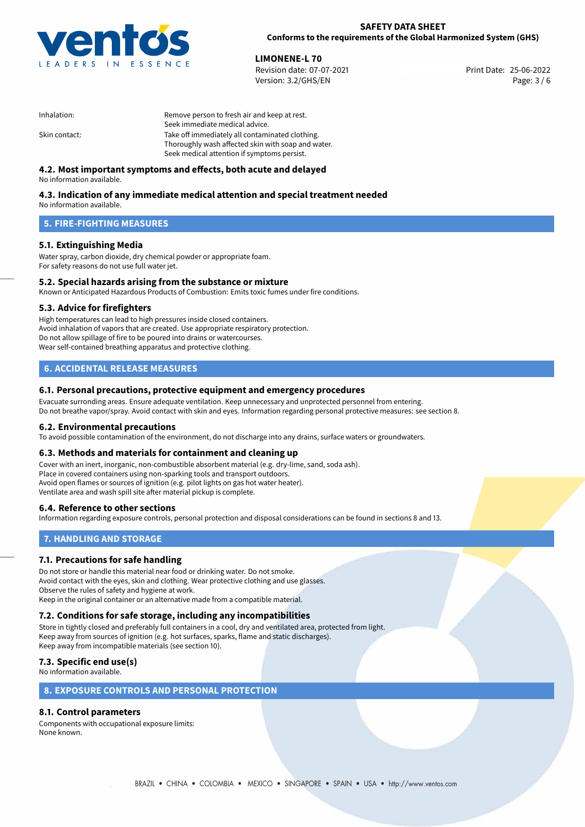

**LIMONENE-L 70**<br>
Revision date: 07-07-2021 **Print Date: 25-06-2022** Version: 3.2/GHS/EN Page: 3 / 6

| Inhalation:   | Remove person to fresh air and keep at rest.       |
|---------------|----------------------------------------------------|
|               | Seek immediate medical advice.                     |
| Skin contact: | Take off immediately all contaminated clothing.    |
|               | Thoroughly wash affected skin with soap and water. |
|               | Seek medical attention if symptoms persist.        |

# **4.2. Most important symptoms and effects, both acute and delayed**

No information available.

# **4.3. Indication of any immediate medical attention and special treatment needed**

No information available.

# **5. FIRE-FIGHTING MEASURES**

# **5.1. Extinguishing Media**

Water spray, carbon dioxide, dry chemical powder or appropriate foam. For safety reasons do not use full water jet.

# **5.2. Special hazards arising from the substance or mixture**

Known or Anticipated Hazardous Products of Combustion: Emits toxic fumes under fire conditions.

## **5.3. Advice for firefighters**

High temperatures can lead to high pressures inside closed containers. Avoid inhalation of vapors that are created. Use appropriate respiratory protection. Do not allow spillage of fire to be poured into drains or watercourses. Wear self-contained breathing apparatus and protective clothing.

# **6. ACCIDENTAL RELEASE MEASURES**

## **6.1. Personal precautions, protective equipment and emergency procedures**

Evacuate surronding areas. Ensure adequate ventilation. Keep unnecessary and unprotected personnel from entering. Do not breathe vapor/spray. Avoid contact with skin and eyes. Information regarding personal protective measures: see section 8.

## **6.2. Environmental precautions**

To avoid possible contamination of the environment, do not discharge into any drains, surface waters or groundwaters.

#### **6.3. Methods and materials for containment and cleaning up**

Cover with an inert, inorganic, non-combustible absorbent material (e.g. dry-lime, sand, soda ash). Place in covered containers using non-sparking tools and transport outdoors. Avoid open flames or sources of ignition (e.g. pilot lights on gas hot water heater). Ventilate area and wash spill site after material pickup is complete.

## **6.4. Reference to other sections**

Information regarding exposure controls, personal protection and disposal considerations can be found in sections 8 and 13.

# **7. HANDLING AND STORAGE**

## **7.1. Precautions for safe handling**

Do not store or handle this material near food or drinking water. Do not smoke. Avoid contact with the eyes, skin and clothing. Wear protective clothing and use glasses. Observe the rules of safety and hygiene at work. Keep in the original container or an alternative made from a compatible material.

# **7.2. Conditions for safe storage, including any incompatibilities**

Store in tightly closed and preferably full containers in a cool, dry and ventilated area, protected from light. Keep away from sources of ignition (e.g. hot surfaces, sparks, flame and static discharges). Keep away from incompatible materials (see section 10).

# **7.3. Specific end use(s)**

No information available.

# **8. EXPOSURE CONTROLS AND PERSONAL PROTECTION**

# **8.1. Control parameters**

Components with occupational exposure limits: None known.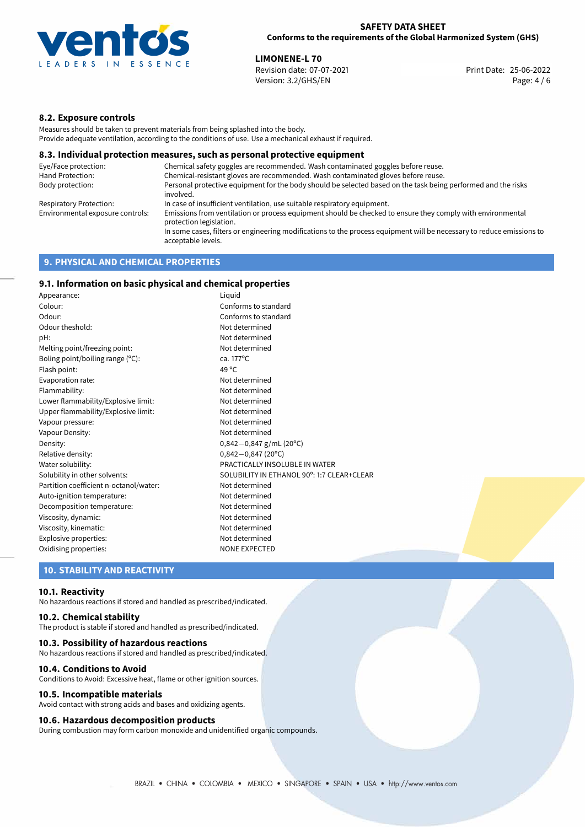

**LIMONENE-L 70**<br>
Revision date: 07-07-2021 **Print Date: 25-06-2022** Version: 3.2/GHS/EN Page: 4 / 6

# **8.2. Exposure controls**

Measures should be taken to prevent materials from being splashed into the body. Provide adequate ventilation, according to the conditions of use. Use a mechanical exhaust if required.

### **8.3. Individual protection measures, such as personal protective equipment**

| Eye/Face protection:             | Chemical safety goggles are recommended. Wash contaminated goggles before reuse.                                                            |
|----------------------------------|---------------------------------------------------------------------------------------------------------------------------------------------|
| Hand Protection:                 | Chemical-resistant gloves are recommended. Wash contaminated gloves before reuse.                                                           |
| Body protection:                 | Personal protective equipment for the body should be selected based on the task being performed and the risks<br>involved.                  |
| Respiratory Protection:          | In case of insufficient ventilation, use suitable respiratory equipment.                                                                    |
| Environmental exposure controls: | Emissions from ventilation or process equipment should be checked to ensure they comply with environmental<br>protection legislation.       |
|                                  | In some cases, filters or engineering modifications to the process equipment will be necessary to reduce emissions to<br>acceptable levels. |
|                                  |                                                                                                                                             |

# **9. PHYSICAL AND CHEMICAL PROPERTIES**

# **9.1. Information on basic physical and chemical properties**

| Appearance:                                           | Liguid                                     |  |  |
|-------------------------------------------------------|--------------------------------------------|--|--|
| Colour:                                               | Conforms to standard                       |  |  |
| Odour:                                                | Conforms to standard                       |  |  |
| Odour theshold:                                       | Not determined                             |  |  |
| pH:                                                   | Not determined                             |  |  |
| Melting point/freezing point:                         | Not determined                             |  |  |
| Boling point/boiling range (°C):                      | ca. 177°C                                  |  |  |
| Flash point:                                          | 49 °C                                      |  |  |
| Evaporation rate:                                     | Not determined                             |  |  |
| Flammability:<br>Not determined                       |                                            |  |  |
| Lower flammability/Explosive limit:                   | Not determined                             |  |  |
| Upper flammability/Explosive limit:<br>Not determined |                                            |  |  |
| Vapour pressure:                                      | Not determined                             |  |  |
| Vapour Density:                                       | Not determined                             |  |  |
| Density:                                              | $0,842-0,847$ g/mL (20°C)                  |  |  |
| Relative density:                                     | $0,842 - 0,847$ (20°C)                     |  |  |
| Water solubility:                                     | PRACTICALLY INSOLUBLE IN WATER             |  |  |
| Solubility in other solvents:                         | SOLUBILITY IN ETHANOL 90°: 1:7 CLEAR+CLEAR |  |  |
| Partition coefficient n-octanol/water:                | Not determined                             |  |  |
| Auto-ignition temperature:                            | Not determined                             |  |  |
| Decomposition temperature:                            | Not determined                             |  |  |
| Viscosity, dynamic:                                   | Not determined                             |  |  |
| Viscosity, kinematic:                                 | Not determined                             |  |  |
| Explosive properties:                                 | Not determined                             |  |  |
| Oxidising properties:                                 | <b>NONE EXPECTED</b>                       |  |  |

# **10. STABILITY AND REACTIVITY**

#### **10.1. Reactivity**

No hazardous reactions if stored and handled as prescribed/indicated.

## **10.2. Chemical stability**

The product is stable if stored and handled as prescribed/indicated.

#### **10.3. Possibility of hazardous reactions**

No hazardous reactions if stored and handled as prescribed/indicated.

#### **10.4. Conditions to Avoid**

Conditions to Avoid: Excessive heat, flame or other ignition sources.

#### **10.5. Incompatible materials**

Avoid contact with strong acids and bases and oxidizing agents.

#### **10.6. Hazardous decomposition products**

During combustion may form carbon monoxide and unidentified organic compounds.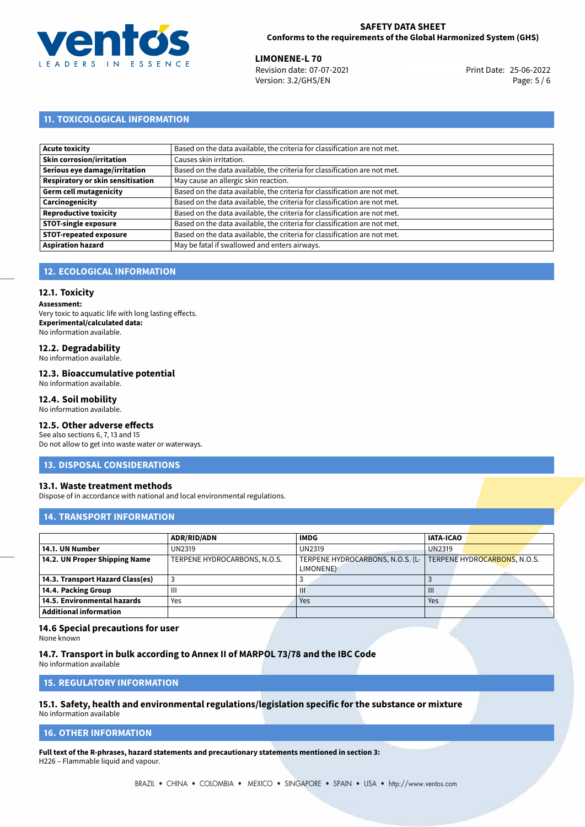

**LIMONENE-L 70**<br>
Revision date: 07-07-2021 **Print Date: 25-06-2022** Version: 3.2/GHS/EN Page: 5 / 6

# **11. TOXICOLOGICAL INFORMATION**

| <b>Acute toxicity</b>             | Based on the data available, the criteria for classification are not met. |
|-----------------------------------|---------------------------------------------------------------------------|
| Skin corrosion/irritation         | Causes skin irritation.                                                   |
| Serious eye damage/irritation     | Based on the data available, the criteria for classification are not met. |
| Respiratory or skin sensitisation | May cause an allergic skin reaction.                                      |
| Germ cell mutagenicity            | Based on the data available, the criteria for classification are not met. |
| Carcinogenicity                   | Based on the data available, the criteria for classification are not met. |
| Reproductive toxicity             | Based on the data available, the criteria for classification are not met. |
| <b>STOT-single exposure</b>       | Based on the data available, the criteria for classification are not met. |
| STOT-repeated exposure            | Based on the data available, the criteria for classification are not met. |
| <b>Aspiration hazard</b>          | May be fatal if swallowed and enters airways.                             |

# **12. ECOLOGICAL INFORMATION**

#### **12.1. Toxicity**

**Assessment:** Very toxic to aquatic life with long lasting effects. **Experimental/calculated data:** No information available.

# **12.2. Degradability**

No information available.

#### **12.3. Bioaccumulative potential**

No information available.

#### **12.4. Soil mobility**

No information available.

# **12.5. Other adverse effects**

See also sections 6, 7, 13 and 15 Do not allow to get into waste water or waterways.

#### **13. DISPOSAL CONSIDERATIONS**

#### **13.1. Waste treatment methods**

Dispose of in accordance with national and local environmental regulations.

### **14. TRANSPORT INFORMATION**

|                                  | <b>ADR/RID/ADN</b>           | <b>IMDG</b>                                   | <b>IATA-ICAO</b>             |
|----------------------------------|------------------------------|-----------------------------------------------|------------------------------|
| 14.1. UN Number                  | UN2319                       | <b>UN2319</b>                                 | <b>UN2319</b>                |
| 14.2. UN Proper Shipping Name    | TERPENE HYDROCARBONS, N.O.S. | TERPENE HYDROCARBONS, N.O.S. (L-<br>LIMONENE) | TERPENE HYDROCARBONS, N.O.S. |
| 14.3. Transport Hazard Class(es) |                              |                                               |                              |
| 14.4. Packing Group              | Ш                            | Ш                                             | $\mathbf{III}$               |
| 14.5. Environmental hazards      | Yes                          | Yes                                           | Yes                          |
| <b>Additional information</b>    |                              |                                               |                              |

### **14.6 Special precautions for user**

None known

**14.7. Transport in bulk according to Annex II of MARPOL 73/78 and the IBC Code** No information available

**15. REGULATORY INFORMATION**

# **15.1. Safety, health and environmental regulations/legislation specific for the substance or mixture**

No information available

## <span id="page-4-0"></span>**16. OTHER INFORMATION**

**Full text of the R-phrases, hazard statements and precautionary statements mentioned in section 3:** H226 – Flammable liquid and vapour.